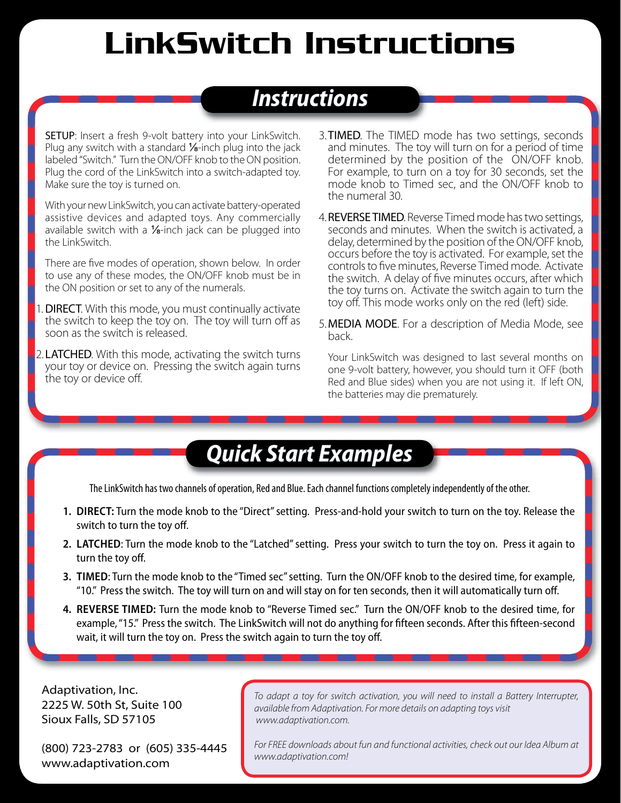## LinkSwitch Instructions

## *Instructions nstructions*

SETUP: Insert a fresh 9-volt battery into your LinkSwitch. Plug any switch with a standard  $\frac{1}{6}$ -inch plug into the jack labeled "Switch." Turn the ON/OFF knob to the ON position. Plug the cord of the LinkSwitch into a switch-adapted toy. Make sure the toy is turned on.

With your new LinkSwitch, you can activate battery-operated assistive devices and adapted toys. Any commercially available switch with a  $\frac{1}{2}$ -inch jack can be plugged into the LinkSwitch.

There are five modes of operation, shown below. In order to use any of these modes, the ON/OFF knob must be in the ON position or set to any of the numerals.

- 1. DIRECT. With this mode, you must continually activate the switch to keep the toy on. The toy will turn off as soon as the switch is released.
- 2. **LATCHED.** With this mode, activating the switch turns your toy or device on. Pressing the switch again turns the toy or device off.
- 3. TIMED. The TIMED mode has two settings, seconds and minutes. The toy will turn on for a period of time determined by the position of the ON/OFF knob. For example, to turn on a toy for 30 seconds, set the mode knob to Timed sec, and the ON/OFF knob to the numeral 30.
- 4. REVERSE TIMED. Reverse Timed mode has two settings, seconds and minutes. When the switch is activated, a delay, determined by the position of the ON/OFF knob, occurs before the toy is activated. For example, set the controls to five minutes, Reverse Timed mode. Activate the switch. A delay of five minutes occurs, after which the toy turns on. Activate the switch again to turn the toy off. This mode works only on the red (left) side.
- 5. MEDIA MODE. For a description of Media Mode, see back.

Your LinkSwitch was designed to last several months on one 9-volt battery, however, you should turn it OFF (both Red and Blue sides) when you are not using it. If left ON, the batteries may die prematurely.

## *Quick Start Examples uick Start Examples*

The LinkSwitch has two channels of operation, Red and Blue. Each channel functions completely independently of the other.

- **1. DIRECT:** Turn the mode knob to the "Direct" setting. Press-and-hold your switch to turn on the toy. Release the switch to turn the toy off.
- **2. LATCHED**: Turn the mode knob to the "Latched" setting. Press your switch to turn the toy on. Press it again to turn the toy off.
- **3. TIMED**: Turn the mode knob to the "Timed sec" setting. Turn the ON/OFF knob to the desired time, for example, "10." Press the switch. The toy will turn on and will stay on for ten seconds, then it will automatically turn off .
- **4. REVERSE TIMED:** Turn the mode knob to "Reverse Timed sec." Turn the ON/OFF knob to the desired time, for example, "15." Press the switch. The LinkSwitch will not do anything for fifteen seconds. After this fifteen-second wait, it will turn the toy on. Press the switch again to turn the toy off.

Adaptivation, Inc. 2225 W. 50th St, Suite 100 Sioux Falls, SD 57105

(800) 723-2783 or (605) 335-4445 www.adaptivation.com

*To adapt a toy for switch activation, you will need to install a Battery Interrupter, available from Adaptivation. For more details on adapting toys visit www.adaptivation.com.*

*For FREE downloads about fun and functional activities, check out our Idea Album at www.adaptivation.com!*